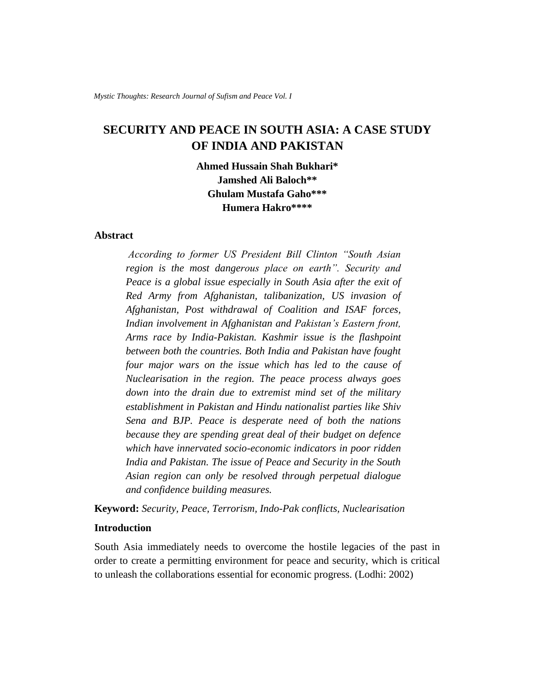# **SECURITY AND PEACE IN SOUTH ASIA: A CASE STUDY OF INDIA AND PAKISTAN**

**Ahmed Hussain Shah Bukhari\* Jamshed Ali Baloch\*\* Ghulam Mustafa Gaho\*\*\* Humera Hakro\*\*\*\***

#### **Abstract**

*According to former US President Bill Clinton "South Asian region is the most dangerous place on earth". Security and Peace is a global issue especially in South Asia after the exit of Red Army from Afghanistan, talibanization, US invasion of Afghanistan, Post withdrawal of Coalition and ISAF forces, Indian involvement in Afghanistan and Pakistan's Eastern front, Arms race by India-Pakistan. Kashmir issue is the flashpoint between both the countries. Both India and Pakistan have fought four major wars on the issue which has led to the cause of Nuclearisation in the region. The peace process always goes down into the drain due to extremist mind set of the military establishment in Pakistan and Hindu nationalist parties like Shiv Sena and BJP. Peace is desperate need of both the nations because they are spending great deal of their budget on defence which have innervated socio-economic indicators in poor ridden India and Pakistan. The issue of Peace and Security in the South Asian region can only be resolved through perpetual dialogue and confidence building measures.*

**Keyword:** *Security, Peace, Terrorism, Indo-Pak conflicts, Nuclearisation*

#### **Introduction**

South Asia immediately needs to overcome the hostile legacies of the past in order to create a permitting environment for peace and security, which is critical to unleash the collaborations essential for economic progress. (Lodhi: 2002)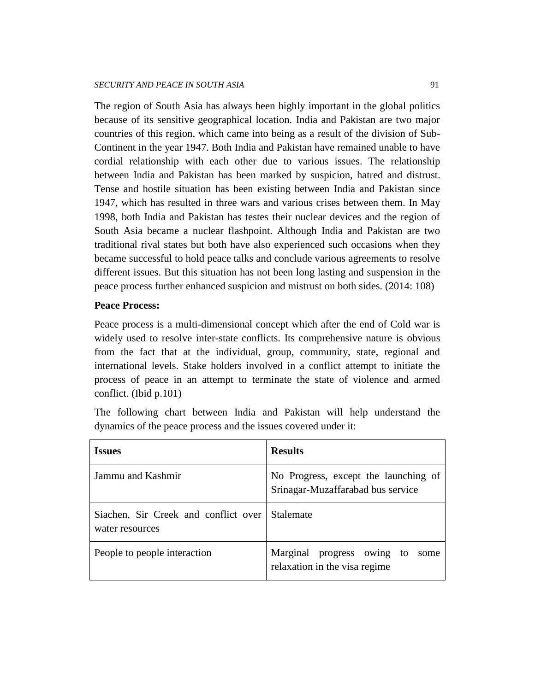The region of South Asia has always been highly important in the global politics because of its sensitive geographical location. India and Pakistan are two major countries of this region, which came into being as a result of the division of Sub-Continent in the year 1947. Both India and Pakistan have remained unable to have cordial relationship with each other due to various issues. The relationship between India and Pakistan has been marked by suspicion, hatred and distrust. Tense and hostile situation has been existing between India and Pakistan since 1947, which has resulted in three wars and various crises between them. In May 1998, both India and Pakistan has testes their nuclear devices and the region of South Asia became a nuclear flashpoint. Although India and Pakistan are two traditional rival states but both have also experienced such occasions when they became successful to hold peace talks and conclude various agreements to resolve different issues. But this situation has not been long lasting and suspension in the peace process further enhanced suspicion and mistrust on both sides. (2014: 108)

#### **Peace Process:**

Peace process is a multi-dimensional concept which after the end of Cold war is widely used to resolve inter-state conflicts. Its comprehensive nature is obvious from the fact that at the individual, group, community, state, regional and international levels. Stake holders involved in a conflict attempt to initiate the process of peace in an attempt to terminate the state of violence and armed conflict. (Ibid p.101)

The following chart between India and Pakistan will help understand the dynamics of the peace process and the issues covered under it:

| <b>Issues</b>                                           | <b>Results</b>                                                            |
|---------------------------------------------------------|---------------------------------------------------------------------------|
| Jammu and Kashmir                                       | No Progress, except the launching of<br>Srinagar-Muzaffarabad bus service |
| Siachen, Sir Creek and conflict over<br>water resources | Stalemate                                                                 |
| People to people interaction                            | Marginal progress owing to<br>some<br>relaxation in the visa regime       |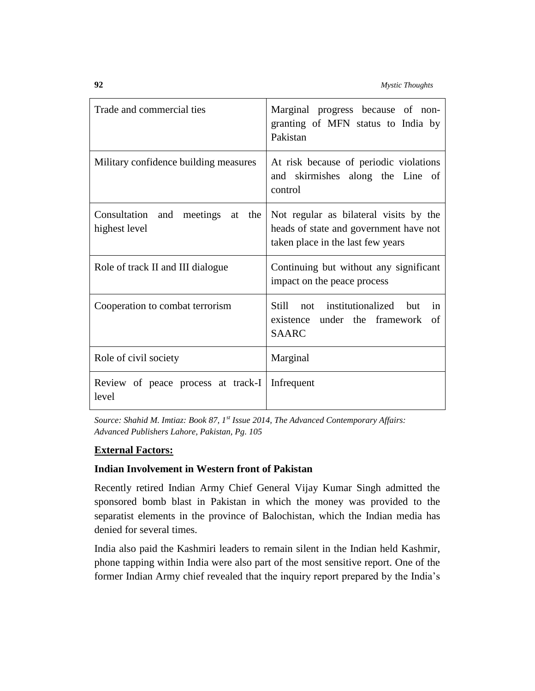| Trade and commercial ties                               | Marginal progress because of non-<br>granting of MFN status to India by<br>Pakistan                                   |
|---------------------------------------------------------|-----------------------------------------------------------------------------------------------------------------------|
| Military confidence building measures                   | At risk because of periodic violations<br>and skirmishes along the Line of<br>control                                 |
| Consultation and meetings<br>the<br>at<br>highest level | Not regular as bilateral visits by the<br>heads of state and government have not<br>taken place in the last few years |
| Role of track II and III dialogue                       | Continuing but without any significant<br>impact on the peace process                                                 |
| Cooperation to combat terrorism                         | not institutionalized<br>Still<br><b>but</b><br>in<br>existence under the framework<br>of<br><b>SAARC</b>             |
| Role of civil society                                   | Marginal                                                                                                              |
| Review of peace process at track-I<br>level             | Infrequent                                                                                                            |

*Source: Shahid M. Imtiaz: Book 87, 1st Issue 2014, The Advanced Contemporary Affairs: Advanced Publishers Lahore, Pakistan, Pg. 105*

## **External Factors:**

### **Indian Involvement in Western front of Pakistan**

Recently retired Indian Army Chief General Vijay Kumar Singh admitted the sponsored bomb blast in Pakistan in which the money was provided to the separatist elements in the province of Balochistan, which the Indian media has denied for several times.

India also paid the Kashmiri leaders to remain silent in the Indian held Kashmir, phone tapping within India were also part of the most sensitive report. One of the former Indian Army chief revealed that the inquiry report prepared by the India's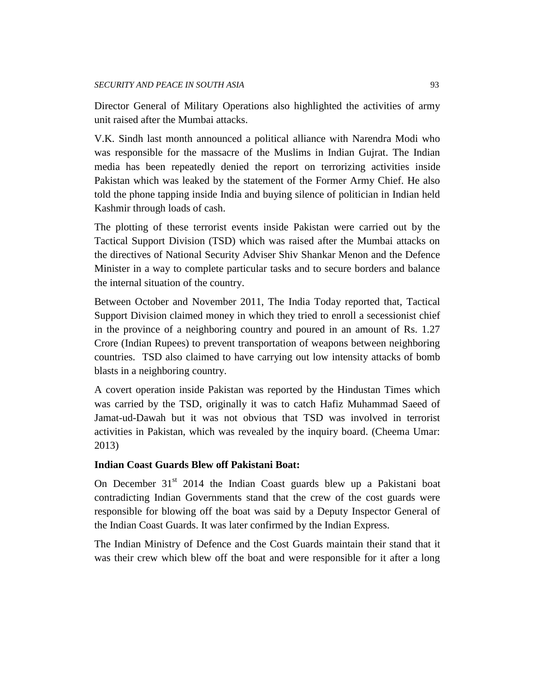Director General of Military Operations also highlighted the activities of army unit raised after the Mumbai attacks.

V.K. Sindh last month announced a political alliance with Narendra Modi who was responsible for the massacre of the Muslims in Indian Gujrat. The Indian media has been repeatedly denied the report on terrorizing activities inside Pakistan which was leaked by the statement of the Former Army Chief. He also told the phone tapping inside India and buying silence of politician in Indian held Kashmir through loads of cash.

The plotting of these terrorist events inside Pakistan were carried out by the Tactical Support Division (TSD) which was raised after the Mumbai attacks on the directives of National Security Adviser Shiv Shankar Menon and the Defence Minister in a way to complete particular tasks and to secure borders and balance the internal situation of the country.

Between October and November 2011, The India Today reported that, Tactical Support Division claimed money in which they tried to enroll a secessionist chief in the province of a neighboring country and poured in an amount of Rs. 1.27 Crore (Indian Rupees) to prevent transportation of weapons between neighboring countries. TSD also claimed to have carrying out low intensity attacks of bomb blasts in a neighboring country.

A covert operation inside Pakistan was reported by the Hindustan Times which was carried by the TSD, originally it was to catch Hafiz Muhammad Saeed of Jamat-ud-Dawah but it was not obvious that TSD was involved in terrorist activities in Pakistan, which was revealed by the inquiry board. (Cheema Umar: 2013)

### **Indian Coast Guards Blew off Pakistani Boat:**

On December 31<sup>st</sup> 2014 the Indian Coast guards blew up a Pakistani boat contradicting Indian Governments stand that the crew of the cost guards were responsible for blowing off the boat was said by a Deputy Inspector General of the Indian Coast Guards. It was later confirmed by the Indian Express.

The Indian Ministry of Defence and the Cost Guards maintain their stand that it was their crew which blew off the boat and were responsible for it after a long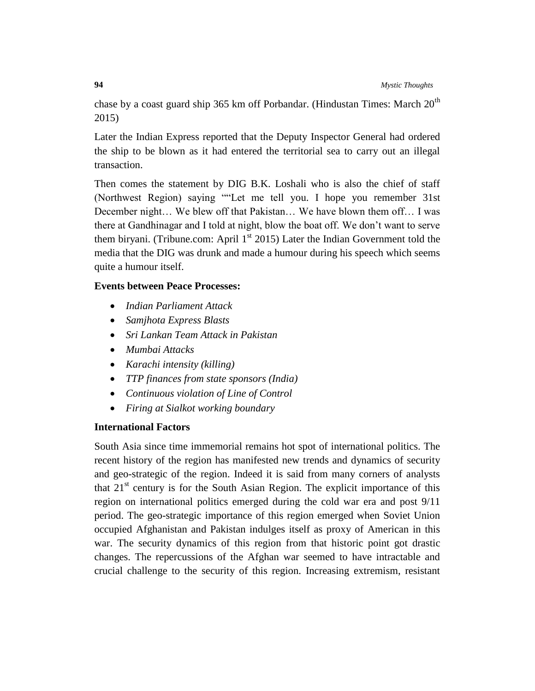chase by a coast guard ship 365 km off Porbandar. (Hindustan Times: March  $20<sup>th</sup>$ 2015)

Later the Indian Express reported that the Deputy Inspector General had ordered the ship to be blown as it had entered the territorial sea to carry out an illegal transaction.

Then comes the statement by DIG B.K. Loshali who is also the chief of staff (Northwest Region) saying ""Let me tell you. I hope you remember 31st December night… We blew off that Pakistan… We have blown them off… I was there at Gandhinagar and I told at night, blow the boat off. We don't want to serve them biryani. (Tribune.com: April  $1<sup>st</sup>$  2015) Later the Indian Government told the media that the DIG was drunk and made a humour during his speech which seems quite a humour itself.

### **Events between Peace Processes:**

- *Indian Parliament Attack*
- *Samjhota Express Blasts*
- *Sri Lankan Team Attack in Pakistan*
- *Mumbai Attacks*
- *Karachi intensity (killing)*
- *TTP finances from state sponsors (India)*
- *Continuous violation of Line of Control*
- *Firing at Sialkot working boundary*

### **International Factors**

South Asia since time immemorial remains hot spot of international politics. The recent history of the region has manifested new trends and dynamics of security and geo-strategic of the region. Indeed it is said from many corners of analysts that  $21<sup>st</sup>$  century is for the South Asian Region. The explicit importance of this region on international politics emerged during the cold war era and post 9/11 period. The geo-strategic importance of this region emerged when Soviet Union occupied Afghanistan and Pakistan indulges itself as proxy of American in this war. The security dynamics of this region from that historic point got drastic changes. The repercussions of the Afghan war seemed to have intractable and crucial challenge to the security of this region. Increasing extremism, resistant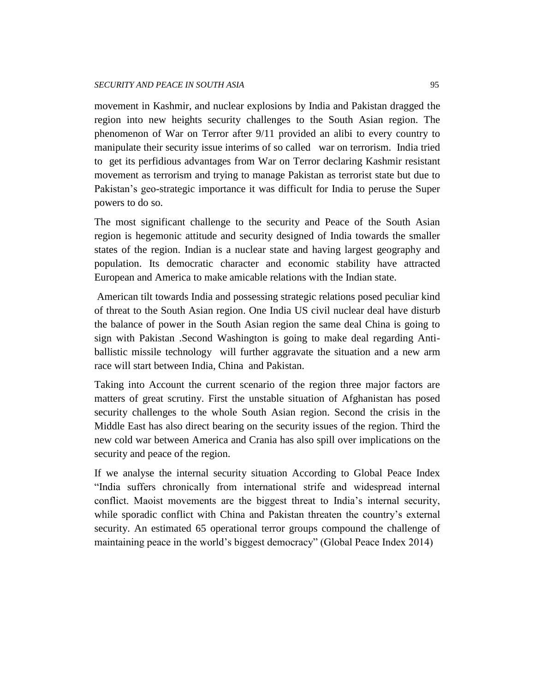movement in Kashmir, and nuclear explosions by India and Pakistan dragged the region into new heights security challenges to the South Asian region. The phenomenon of War on Terror after 9/11 provided an alibi to every country to manipulate their security issue interims of so called war on terrorism. India tried to get its perfidious advantages from War on Terror declaring Kashmir resistant movement as terrorism and trying to manage Pakistan as terrorist state but due to Pakistan's geo-strategic importance it was difficult for India to peruse the Super powers to do so.

The most significant challenge to the security and Peace of the South Asian region is hegemonic attitude and security designed of India towards the smaller states of the region. Indian is a nuclear state and having largest geography and population. Its democratic character and economic stability have attracted European and America to make amicable relations with the Indian state.

American tilt towards India and possessing strategic relations posed peculiar kind of threat to the South Asian region. One India US civil nuclear deal have disturb the balance of power in the South Asian region the same deal China is going to sign with Pakistan .Second Washington is going to make deal regarding Antiballistic missile technology will further aggravate the situation and a new arm race will start between India, China and Pakistan.

Taking into Account the current scenario of the region three major factors are matters of great scrutiny. First the unstable situation of Afghanistan has posed security challenges to the whole South Asian region. Second the crisis in the Middle East has also direct bearing on the security issues of the region. Third the new cold war between America and Crania has also spill over implications on the security and peace of the region.

If we analyse the internal security situation According to Global Peace Index "India suffers chronically from international strife and widespread internal conflict. Maoist movements are the biggest threat to India's internal security, while sporadic conflict with China and Pakistan threaten the country's external security. An estimated 65 operational terror groups compound the challenge of maintaining peace in the world's biggest democracy" (Global Peace Index 2014)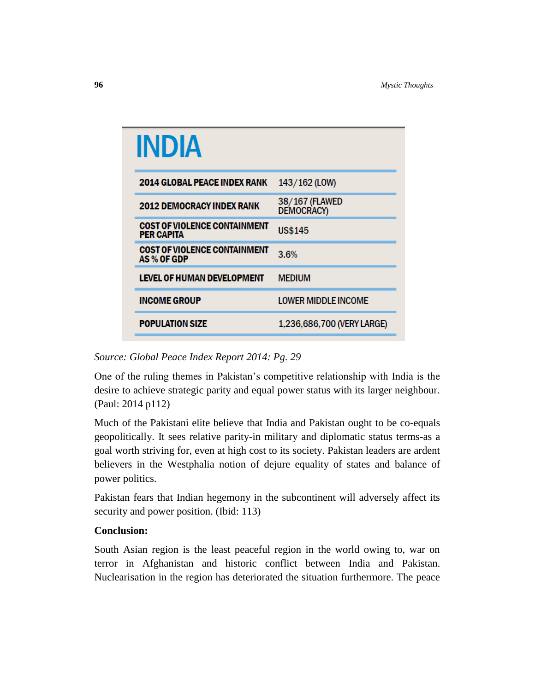| INDIA                                                    |                              |
|----------------------------------------------------------|------------------------------|
| <b>2014 GLOBAL PEACE INDEX RANK</b>                      | 143/162 (LOW)                |
| <b>2012 DEMOCRACY INDEX RANK</b>                         | 38/167 (FLAWED<br>DEMOCRACY) |
| <b>COST OF VIOLENCE CONTAINMENT</b><br><b>PER CAPITA</b> | <b>US\$145</b>               |
| <b>COST OF VIOLENCE CONTAINMENT</b><br>AS % OF GDP       | 3.6%                         |
| LEVEL OF HUMAN DEVELOPMENT                               | <b>MEDIUM</b>                |
| <b>INCOME GROUP</b>                                      | <b>LOWER MIDDLE INCOME</b>   |
| <b>POPULATION SIZE</b>                                   | 1,236,686,700 (VERY LARGE)   |

## *Source: Global Peace Index Report 2014: Pg. 29*

One of the ruling themes in Pakistan's competitive relationship with India is the desire to achieve strategic parity and equal power status with its larger neighbour. (Paul: 2014 p112)

Much of the Pakistani elite believe that India and Pakistan ought to be co-equals geopolitically. It sees relative parity-in military and diplomatic status terms-as a goal worth striving for, even at high cost to its society. Pakistan leaders are ardent believers in the Westphalia notion of dejure equality of states and balance of power politics.

Pakistan fears that Indian hegemony in the subcontinent will adversely affect its security and power position. (Ibid: 113)

### **Conclusion:**

South Asian region is the least peaceful region in the world owing to, war on terror in Afghanistan and historic conflict between India and Pakistan. Nuclearisation in the region has deteriorated the situation furthermore. The peace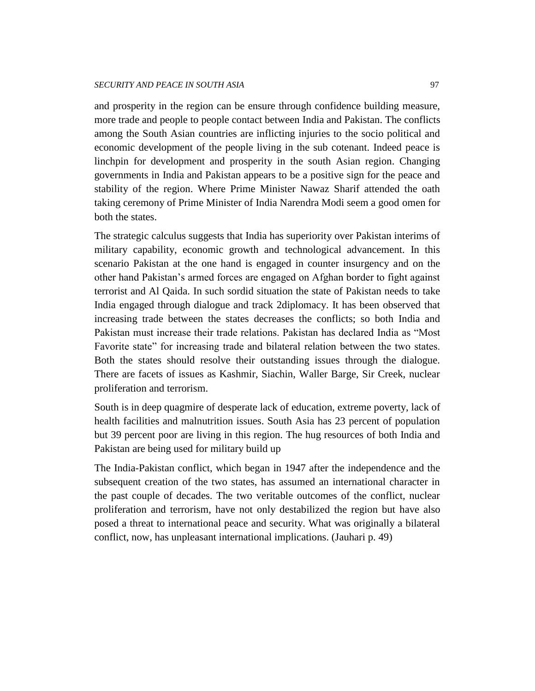and prosperity in the region can be ensure through confidence building measure, more trade and people to people contact between India and Pakistan. The conflicts among the South Asian countries are inflicting injuries to the socio political and economic development of the people living in the sub cotenant. Indeed peace is linchpin for development and prosperity in the south Asian region. Changing governments in India and Pakistan appears to be a positive sign for the peace and stability of the region. Where Prime Minister Nawaz Sharif attended the oath taking ceremony of Prime Minister of India Narendra Modi seem a good omen for both the states.

The strategic calculus suggests that India has superiority over Pakistan interims of military capability, economic growth and technological advancement. In this scenario Pakistan at the one hand is engaged in counter insurgency and on the other hand Pakistan's armed forces are engaged on Afghan border to fight against terrorist and Al Qaida. In such sordid situation the state of Pakistan needs to take India engaged through dialogue and track 2diplomacy. It has been observed that increasing trade between the states decreases the conflicts; so both India and Pakistan must increase their trade relations. Pakistan has declared India as "Most Favorite state" for increasing trade and bilateral relation between the two states. Both the states should resolve their outstanding issues through the dialogue. There are facets of issues as Kashmir, Siachin, Waller Barge, Sir Creek, nuclear proliferation and terrorism.

South is in deep quagmire of desperate lack of education, extreme poverty, lack of health facilities and malnutrition issues. South Asia has 23 percent of population but 39 percent poor are living in this region. The hug resources of both India and Pakistan are being used for military build up

The India-Pakistan conflict, which began in 1947 after the independence and the subsequent creation of the two states, has assumed an international character in the past couple of decades. The two veritable outcomes of the conflict, nuclear proliferation and terrorism, have not only destabilized the region but have also posed a threat to international peace and security. What was originally a bilateral conflict, now, has unpleasant international implications. (Jauhari p. 49)